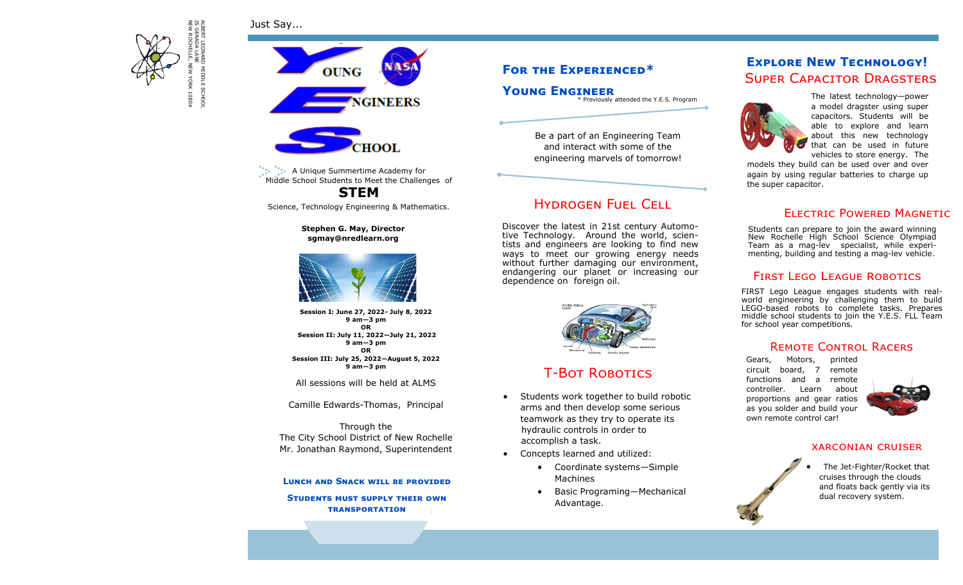Just Say...



**OUNG GINEERS** 



**A Unique Summertime Academy for** Middle School Students to Meet the Challenges of **STEM**

Science, Technology Engineering & Mathematics.

**Stephen G. May, Director sgmay@nredlearn.org**



**Session I: June 27, 2022- July 8, 2022 9 am—3 pm OR Session II: July 11, 2022—July 21, 2022 9 am—3 pm OR Session III: July 25, 2022—August 5, 2022 9 am—3 pm**

All sessions will be held at ALMS

Camille Edwards-Thomas, Principal

Through the The City School District of New Rochelle Mr. Jonathan Raymond, Superintendent

### **Lunch and Snack will be provided**

**Students must supply their own transportation**

# **For the Experienced\***

**Young Engineer**

\* Previously attended the Y.E.S. Program

Be a part of an Engineering Team and interact with some of the engineering marvels of tomorrow!

# Hydrogen Fuel Cell

Discover the latest in 21st century Automotive Technology. Around the world, scientists and engineers are looking to find new ways to meet our growing energy needs without further damaging our environment. endangering our planet or increasing our dependence on foreign oil.



# T-Bot Robotics

- Students work together to build robotic arms and then develop some serious teamwork as they try to operate its hydraulic controls in order to accomplish a task.
- Concepts learned and utilized:
	- Coordinate systems—Simple Machines
	- Basic Programing—Mechanical Advantage.

# Super Capacitor Dragsters **Explore New Technology!**



The latest technology—power a model dragster using super capacitors. Students will be able to explore and learn about this new technology that can be used in future vehicles to store energy. The

models they build can be used over and over again by using regular batteries to charge up the super capacitor.

## Electric Powered Magnetic

Students can prepare to join the award winning New Rochelle High School Science Olympiad Team as a mag-lev specialist, while experimenting, building and testing a mag-lev vehicle.

### FIRST LEGO LEAGUE ROBOTICS

FIRST Lego League engages students with realworld engineering by challenging them to build LEGO-based robots to complete tasks. Prepares middle school students to join the Y.E.S. FLL Team for school year competitions.

### REMOTE CONTROL RACERS

Gears, Motors, printed circuit board, 7 remote functions and a remote controller. Learn about proportions and gear ratios as you solder and build your own remote control car!



### xarconian cruiser

The Jet-Fighter/Rocket that cruises through the clouds and floats back gently via its dual recovery system.